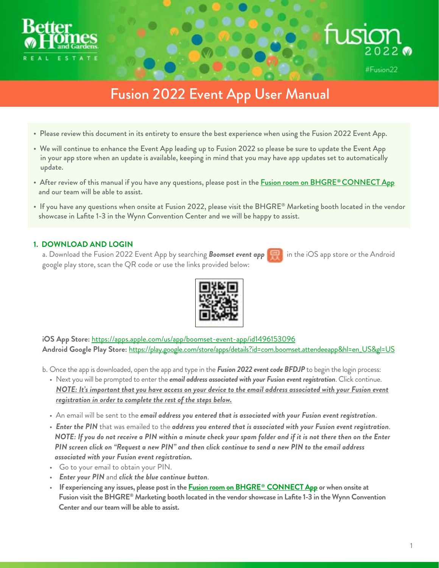



# Fusion 2022 Event App User Manual

- Please review this document in its entirety to ensure the best experience when using the Fusion 2022 Event App.
- We will continue to enhance the Event App leading up to Fusion 2022 so please be sure to update the Event App in your app store when an update is available, keeping in mind that you may have app updates set to automatically update.
- After review of this manual if you have any questions, please post in the **Fusion room on BHGRE® CONNECT App** and our team will be able to assist.
- If you have any questions when onsite at Fusion 2022, please visit the BHGRE® Marketing booth located in the vendor showcase in Lafite 1-3 in the Wynn Convention Center and we will be happy to assist.

## **1. DOWNLOAD AND LOGIN**

a. Download the Fusion 2022 Event App by searching *Boomset event app* in the iOS app store or the Android google play store, scan the QR code or use the links provided below:



**iOS App Store:** <https://apps.apple.com/us/app/boomset-event-app/id1496153096> **Android Google Play Store:** [https://play.google.com/store/apps/details?id=com.boomset.attendeeapp&hl=en\\_US&gl=US](https://play.google.com/store/apps/details?id=com.boomset.attendeeapp&hl=en_US&gl=US)

- b. Once the app is downloaded, open the app and type in the *Fusion 2022 event code BFDJP* to begin the login process:
	- Next you will be prompted to enter the *email address associated with your Fusion event registration*. Click continue. *NOTE: It's important that you have access on your device to the email address associated with your Fusion event registration in order to complete the rest of the steps below.*
	- An email will be sent to the *email address you entered that is associated with your Fusion event registration*.
	- *Enter the PIN* that was emailed to the *address you entered that is associated with your Fusion event registration*. *NOTE: If you do not receive a PIN within a minute check your spam folder and if it is not there then on the Enter PIN screen click on "Request a new PIN" and then click continue to send a new PIN to the email address associated with your Fusion event registration.*
	- Go to your email to obtain your PIN.
	- *Enter your PIN* and *click the blue continue button*.
	- **If experiencing any issues, please post in the [Fusion room on BHGRE CONNECT App](https://bhgre.konverse.com/rooms/125282) or when onsite at Fusion visit the BHGRE® Marketing booth located in the vendor showcase in Lafite 1-3 in the Wynn Convention Center and our team will be able to assist.**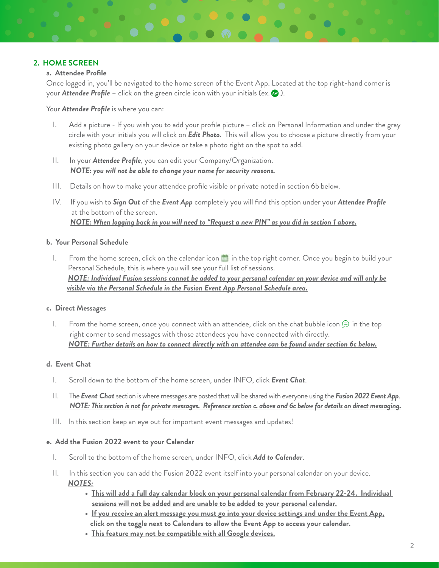## **2. HOME SCREEN**

### **a. Attendee Profile**

Once logged in, you'll be navigated to the home screen of the Event App. Located at the top right-hand corner is your **Attendee Profile** – click on the green circle icon with your initials (ex. **)**.

Your *Attendee Profile* is where you can:

- I. Add a picture If you wish you to add your profile picture click on Personal Information and under the gray circle with your initials you will click on *Edit Photo.* This will allow you to choose a picture directly from your existing photo gallery on your device or take a photo right on the spot to add.
- II. In your *Attendee Profile*, you can edit your Company/Organization. *NOTE: you will not be able to change your name for security reasons.*
- III. Details on how to make your attendee profile visible or private noted in section 6b below.
- IV. If you wish to *Sign Out* of the *Event App* completely you will find this option under your *Attendee Profile* at the bottom of the screen. *NOTE: When logging back in you will need to "Request a new PIN" as you did in section 1 above.*

#### **b. Your Personal Schedule**

I. From the home screen, click on the calendar icon **in** in the top right corner. Once you begin to build your Personal Schedule, this is where you will see your full list of sessions. *NOTE: Individual Fusion sessions cannot be added to your personal calendar on your device and will only be visible via the Personal Schedule in the Fusion Event App Personal Schedule area.*

### **c. Direct Messages**

I. From the home screen, once you connect with an attendee, click on the chat bubble icon  $\odot$  in the top right corner to send messages with those attendees you have connected with directly. *NOTE: Further details on how to connect directly with an attendee can be found under section 6c below.*

### **d. Event Chat**

- I. Scroll down to the bottom of the home screen, under INFO, click *Event Chat*.
- II. The *Event Chat* section is where messages are posted that will be shared with everyone using the *Fusion 2022 Event App*. *NOTE: This section is not for private messages. Reference section c. above and 6c below for details on direct messaging.*
- III. In this section keep an eye out for important event messages and updates!

### **e. Add the Fusion 2022 event to your Calendar**

- I. Scroll to the bottom of the home screen, under INFO, click *Add to Calendar*.
- II. In this section you can add the Fusion 2022 event itself into your personal calendar on your device. *NOTES:*
	- **This will add a full day calendar block on your personal calendar from February 22-24. Individual sessions will not be added and are unable to be added to your personal calendar.**
	- **If you receive an alert message you must go into your device settings and under the Event App, click on the toggle next to Calendars to allow the Event App to access your calendar.**
	- **This feature may not be compatible with all Google devices.**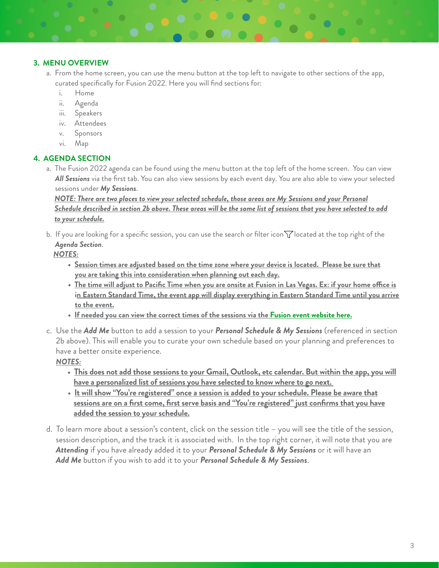## **3. MENU OVERVIEW**

- a.From the home screen, you can use the menu button at the top left to navigate to other sections of the app, curated specifically for Fusion 2022. Here you will find sections for:
	- i. Home
	- ii. Agenda
	- iii. Speakers
	- iv. Attendees
	- v. Sponsors
	- vi. Map

## **4. AGENDA SECTION**

a. The Fusion 2022 agenda can be found using the menu button at the top left of the home screen. You can view *All Sessions* via the first tab. You can also view sessions by each event day. You are also able to view your selected sessions under *My Sessions*.

*NOTE: There are two places to view your selected schedule, those areas are My Sessions and your Personal Schedule described in section 2b above. These areas will be the same list of sessions that you have selected to add to your schedule.*

b. If you are looking for a specific session, you can use the search or filter icon  $\bigtriangledown$  located at the top right of the *Agenda Section*.

## *NOTES:*

- **Session times are adjusted based on the time zone where your device is located. Please be sure that you are taking this into consideration when planning out each day.**
- **The time will adjust to Pacific Time when you are onsite at Fusion in Las Vegas. Ex: if your home o!ce is in Eastern Standard Time, the event app will display everything in Eastern Standard Time until you arrive to the event.**
- **If needed you can view the correct times of the sessions via the [Fusion event website here.](https://eventsbhgre.com/fusion-2022/agenda/)**
- c. Use the *Add Me* button to add a session to your *Personal Schedule & My Sessions* (referenced in section 2b above). This will enable you to curate your own schedule based on your planning and preferences to have a better onsite experience.

# *NOTES:*

- **This does not add those sessions to your Gmail, Outlook, etc calendar. But within the app, you will have a personalized list of sessions you have selected to know where to go next.**
- **It will show "You're registered" once a session is added to your schedule. Please be aware that sessions are on a first come, first serve basis and "You're registered" just confirms that you have added the session to your schedule.**
- d. To learn more about a session's content, click on the session title you will see the title of the session, session description, and the track it is associated with. In the top right corner, it will note that you are *Attending* if you have already added it to your *Personal Schedule & My Sessions* or it will have an *Add Me* button if you wish to add it to your *Personal Schedule & My Sessions*.